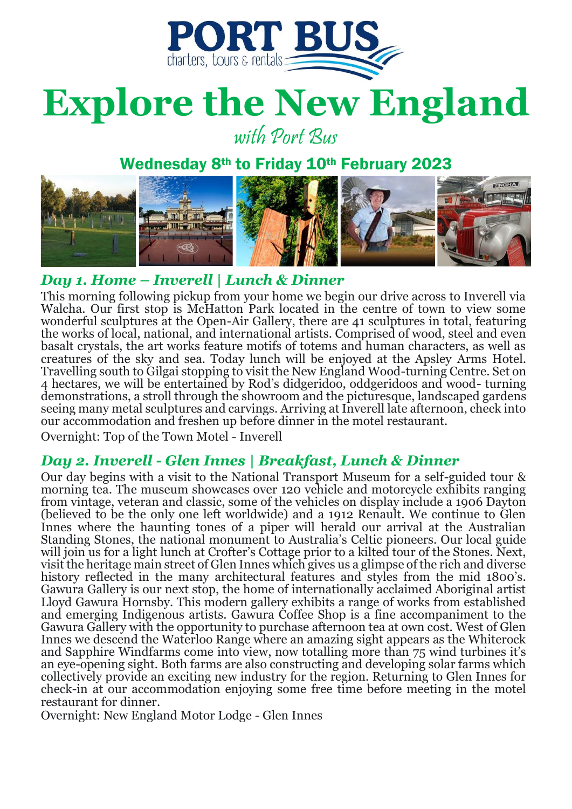

## **Explore the New England**

with Port Bus

#### Wednesday 8<sup>th</sup> to Friday 10<sup>th</sup> February 2023



#### *Day 1. Home – Inverell | Lunch & Dinner*

This morning following pickup from your home we begin our drive across to Inverell via Walcha. Our first stop is McHatton Park located in the centre of town to view some wonderful sculptures at the Open-Air Gallery, there are 41 sculptures in total, featuring the works of local, national, and international artists. Comprised of wood, steel and even basalt crystals, the art works feature motifs of totems and human characters, as well as creatures of the sky and sea. Today lunch will be enjoyed at the Apsley Arms Hotel. Travelling south to Gilgai stopping to visit the New England Wood-turning Centre. Set on 4 hectares, we will be entertained by Rod's didgeridoo, oddgeridoos and wood- turning demonstrations, a stroll through the showroom and the picturesque, landscaped gardens seeing many metal sculptures and carvings. Arriving at Inverell late afternoon, check into our accommodation and freshen up before dinner in the motel restaurant.

Overnight: Top of the Town Motel - Inverell

#### *Day 2. Inverell - Glen Innes | Breakfast, Lunch & Dinner*

Our day begins with a visit to the National Transport Museum for a self-guided tour & morning tea. The museum showcases over 120 vehicle and motorcycle exhibits ranging from vintage, veteran and classic, some of the vehicles on display include a 1906 Dayton (believed to be the only one left worldwide) and a 1912 Renault. We continue to Glen Innes where the haunting tones of a piper will herald our arrival at the Australian Standing Stones, the national monument to Australia's Celtic pioneers. Our local guide will join us for a light lunch at Crofter's Cottage prior to a kilted tour of the Stones. Next, visit the heritage main street of Glen Innes which gives us a glimpse of the rich and diverse history reflected in the many architectural features and styles from the mid 1800's. Gawura Gallery is our next stop, the home of internationally acclaimed Aboriginal artist Lloyd Gawura Hornsby. This modern gallery exhibits a range of works from established and emerging Indigenous artists. Gawura Coffee Shop is a fine accompaniment to the Gawura Gallery with the opportunity to purchase afternoon tea at own cost. West of Glen Innes we descend the Waterloo Range where an amazing sight appears as the Whiterock and Sapphire Windfarms come into view, now totalling more than 75 wind turbines it's an eye-opening sight. Both farms are also constructing and developing solar farms which collectively provide an exciting new industry for the region. Returning to Glen Innes for check-in at our accommodation enjoying some free time before meeting in the motel restaurant for dinner.

Overnight: New England Motor Lodge - Glen Innes